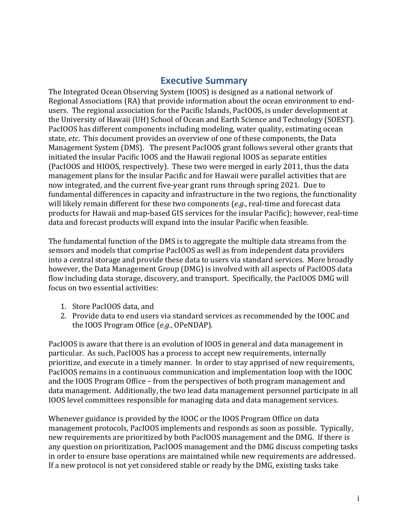## **Executive Summary**

The Integrated Ocean Observing System (IOOS) is designed as a national network of Regional Associations (RA) that provide information about the ocean environment to endusers. The regional association for the Pacific Islands, PacIOOS, is under development at the University of Hawaii (UH) School of Ocean and Earth Science and Technology (SOEST). PacIOOS has different components including modeling, water quality, estimating ocean state, *etc*. This document provides an overview of one of these components, the Data Management System (DMS). The present PacIOOS grant follows several other grants that initiated the insular Pacific IOOS and the Hawaii regional IOOS as separate entities (PacIOOS and HIOOS, respectively). These two were merged in early 2011, thus the data management plans for the insular Pacific and for Hawaii were parallel activities that are now integrated, and the current five-year grant runs through spring 2021. Due to fundamental differences in capacity and infrastructure in the two regions, the functionality will likely remain different for these two components (e.g., real-time and forecast data products for Hawaii and map-based GIS services for the insular Pacific); however, real-time data and forecast products will expand into the insular Pacific when feasible.

The fundamental function of the DMS is to aggregate the multiple data streams from the sensors and models that comprise PacIOOS as well as from independent data providers into a central storage and provide these data to users via standard services. More broadly however, the Data Management Group (DMG) is involved with all aspects of PacIOOS data flow including data storage, discovery, and transport. Specifically, the PacIOOS DMG will focus on two essential activities:

- 1. Store PacIOOS data, and
- 2. Provide data to end users via standard services as recommended by the IOOC and the IOOS Program Office (*e.g.*, OPeNDAP).

PacIOOS is aware that there is an evolution of IOOS in general and data management in particular. As such, PacIOOS has a process to accept new requirements, internally prioritize, and execute in a timely manner. In order to stay apprised of new requirements, PacIOOS remains in a continuous communication and implementation loop with the IOOC and the IOOS Program Office – from the perspectives of both program management and data management. Additionally, the two lead data management personnel participate in all IOOS level committees responsible for managing data and data management services.

Whenever guidance is provided by the IOOC or the IOOS Program Office on data management protocols, PacIOOS implements and responds as soon as possible. Typically, new requirements are prioritized by both PacIOOS management and the DMG. If there is any question on prioritization, PacIOOS management and the DMG discuss competing tasks in order to ensure base operations are maintained while new requirements are addressed. If a new protocol is not yet considered stable or ready by the DMG, existing tasks take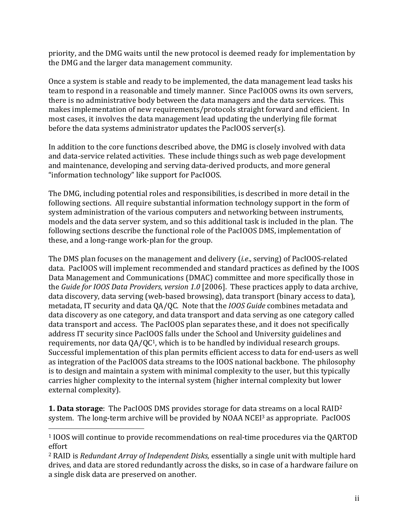priority, and the DMG waits until the new protocol is deemed ready for implementation by the DMG and the larger data management community.

Once a system is stable and ready to be implemented, the data management lead tasks his team to respond in a reasonable and timely manner. Since PacIOOS owns its own servers, there is no administrative body between the data managers and the data services. This makes implementation of new requirements/protocols straight forward and efficient. In most cases, it involves the data management lead updating the underlying file format before the data systems administrator updates the PacIOOS server(s).

In addition to the core functions described above, the DMG is closely involved with data and data-service related activities. These include things such as web page development and maintenance, developing and serving data-derived products, and more general "information technology" like support for PacIOOS.

The DMG, including potential roles and responsibilities, is described in more detail in the following sections. All require substantial information technology support in the form of system administration of the various computers and networking between instruments, models and the data server system, and so this additional task is included in the plan. The following sections describe the functional role of the PacIOOS DMS, implementation of these, and a long-range work-plan for the group.

The DMS plan focuses on the management and delivery *(i.e.,* serving) of PacIOOS-related data. PacIOOS will implement recommended and standard practices as defined by the IOOS Data Management and Communications (DMAC) committee and more specifically those in the *Guide for IOOS Data Providers, version 1.0* [2006]. These practices apply to data archive, data discovery, data serving (web-based browsing), data transport (binary access to data), metadata, IT security and data QA/QC. Note that the *IOOS Guide* combines metadata and data discovery as one category, and data transport and data serving as one category called data transport and access. The PacIOOS plan separates these, and it does not specifically address IT security since PacIOOS falls under the School and University guidelines and requirements, nor data  $QA/QC<sup>1</sup>$ , which is to be handled by individual research groups. Successful implementation of this plan permits efficient access to data for end-users as well as integration of the PacIOOS data streams to the IOOS national backbone. The philosophy is to design and maintain a system with minimal complexity to the user, but this typically carries higher complexity to the internal system (higher internal complexity but lower external complexity).

**1. Data storage**: The PacIOOS DMS provides storage for data streams on a local RAID<sup>2</sup> system. The long-term archive will be provided by NOAA NCEI<sup>3</sup> as appropriate. PacIOOS

<sup>&</sup>lt;sup>1</sup> IOOS will continue to provide recommendations on real-time procedures via the QARTOD effort

<sup>&</sup>lt;sup>2</sup> RAID is *Redundant Array of Independent Disks*, essentially a single unit with multiple hard drives, and data are stored redundantly across the disks, so in case of a hardware failure on a single disk data are preserved on another.